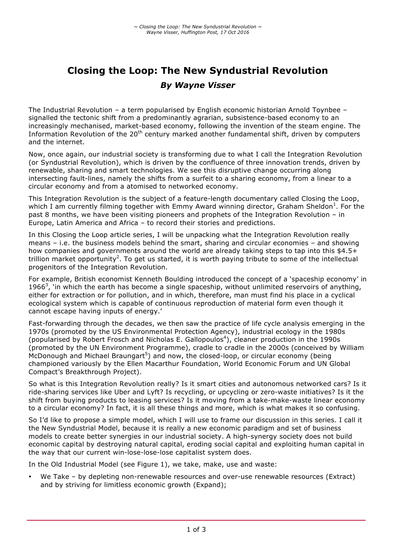# **Closing the Loop: The New Syndustrial Revolution** *By Wayne Visser*

The Industrial Revolution – a term popularised by English economic historian Arnold Toynbee – signalled the tectonic shift from a predominantly agrarian, subsistence-based economy to an increasingly mechanised, market-based economy, following the invention of the steam engine. The Information Revolution of the 20<sup>th</sup> century marked another fundamental shift, driven by computers and the internet.

Now, once again, our industrial society is transforming due to what I call the Integration Revolution (or Syndustrial Revolution), which is driven by the confluence of three innovation trends, driven by renewable, sharing and smart technologies. We see this disruptive change occurring along intersecting fault-lines, namely the shifts from a surfeit to a sharing economy, from a linear to a circular economy and from a atomised to networked economy.

This Integration Revolution is the subject of a feature-length documentary called Closing the Loop, which I am currently filming together with Emmy Award winning director, Graham Sheldon<sup>1</sup>. For the past 8 months, we have been visiting pioneers and prophets of the Integration Revolution – in Europe, Latin America and Africa – to record their stories and predictions.

In this Closing the Loop article series, I will be unpacking what the Integration Revolution really means – i.e. the business models behind the smart, sharing and circular economies – and showing how companies and governments around the world are already taking steps to tap into this \$4.5+ trillion market opportunity<sup>2</sup>. To get us started, it is worth paying tribute to some of the intellectual progenitors of the Integration Revolution.

For example, British economist Kenneth Boulding introduced the concept of a 'spaceship economy' in 1966<sup>3</sup>, 'in which the earth has become a single spaceship, without unlimited reservoirs of anything, either for extraction or for pollution, and in which, therefore, man must find his place in a cyclical ecological system which is capable of continuous reproduction of material form even though it cannot escape having inputs of energy.'

Fast-forwarding through the decades, we then saw the practice of life cycle analysis emerging in the 1970s (promoted by the US Environmental Protection Agency), industrial ecology in the 1980s (popularised by Robert Frosch and Nicholas E. Gallopoulos<sup>4</sup>), cleaner production in the 1990s (promoted by the UN Environment Programme), cradle to cradle in the 2000s (conceived by William  $MCD$ onough and Michael Braungart<sup>5</sup>) and now, the closed-loop, or circular economy (being championed variously by the Ellen Macarthur Foundation, World Economic Forum and UN Global Compact's Breakthrough Project).

So what is this Integration Revolution really? Is it smart cities and autonomous networked cars? Is it ride-sharing services like Uber and Lyft? Is recycling, or upcycling or zero-waste initiatives? Is it the shift from buying products to leasing services? Is it moving from a take-make-waste linear economy to a circular economy? In fact, it is all these things and more, which is what makes it so confusing.

So I'd like to propose a simple model, which I will use to frame our discussion in this series. I call it the New Syndustrial Model, because it is really a new economic paradigm and set of business models to create better synergies in our industrial society. A high-synergy society does not build economic capital by destroying natural capital, eroding social capital and exploiting human capital in the way that our current win-lose-lose-lose capitalist system does.

In the Old Industrial Model (see Figure 1), we take, make, use and waste:

• We Take – by depleting non-renewable resources and over-use renewable resources (Extract) and by striving for limitless economic growth (Expand);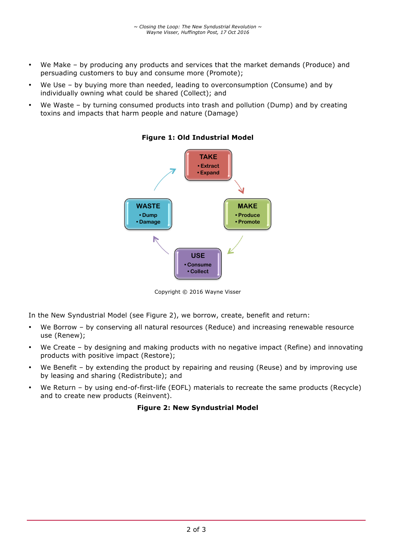- We Make by producing any products and services that the market demands (Produce) and persuading customers to buy and consume more (Promote);
- We Use by buying more than needed, leading to overconsumption (Consume) and by individually owning what could be shared (Collect); and
- We Waste by turning consumed products into trash and pollution (Dump) and by creating toxins and impacts that harm people and nature (Damage)



**Figure 1: Old Industrial Model**

Copyright © 2016 Wayne Visser

In the New Syndustrial Model (see Figure 2), we borrow, create, benefit and return:

- We Borrow by conserving all natural resources (Reduce) and increasing renewable resource use (Renew);
- We Create by designing and making products with no negative impact (Refine) and innovating products with positive impact (Restore);
- We Benefit by extending the product by repairing and reusing (Reuse) and by improving use by leasing and sharing (Redistribute); and
- We Return by using end-of-first-life (EOFL) materials to recreate the same products (Recycle) and to create new products (Reinvent).

#### **Figure 2: New Syndustrial Model**